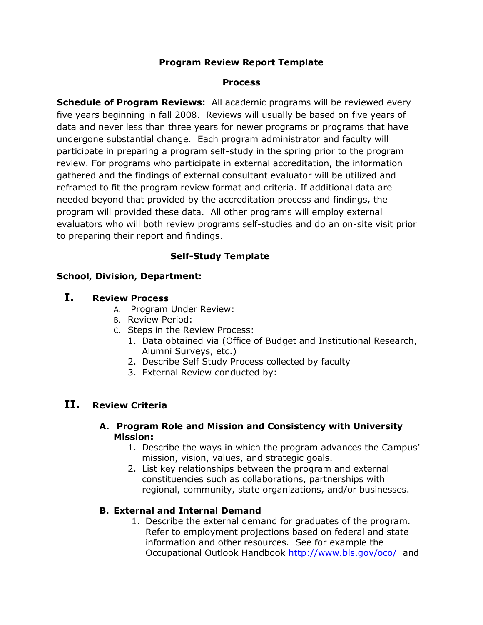# **Program Review Report Template**

### **Process**

**Schedule of Program Reviews:** All academic programs will be reviewed every five years beginning in fall 2008. Reviews will usually be based on five years of data and never less than three years for newer programs or programs that have undergone substantial change. Each program administrator and faculty will participate in preparing a program self-study in the spring prior to the program review. For programs who participate in external accreditation, the information gathered and the findings of external consultant evaluator will be utilized and reframed to fit the program review format and criteria. If additional data are needed beyond that provided by the accreditation process and findings, the program will provided these data. All other programs will employ external evaluators who will both review programs self-studies and do an on-site visit prior to preparing their report and findings.

# **Self-Study Template**

## **School, Division, Department:**

# **I. Review Process**

- A. Program Under Review:
- B. Review Period:
- C. Steps in the Review Process:
	- 1. Data obtained via (Office of Budget and Institutional Research, Alumni Surveys, etc.)
	- 2. Describe Self Study Process collected by faculty
	- 3. External Review conducted by:

# **II. Review Criteria**

## **A. Program Role and Mission and Consistency with University Mission:**

- 1. Describe the ways in which the program advances the Campus' mission, vision, values, and strategic goals.
- 2. List key relationships between the program and external constituencies such as collaborations, partnerships with regional, community, state organizations, and/or businesses.

## **B. External and Internal Demand**

1. Describe the external demand for graduates of the program. Refer to employment projections based on federal and state information and other resources. See for example the Occupational Outlook Handbook <http://www.bls.gov/oco/>and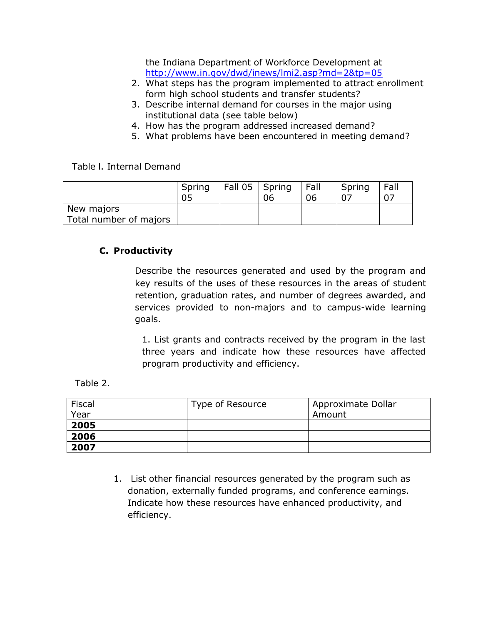the Indiana Department of Workforce Development at <http://www.in.gov/dwd/inews/lmi2.asp?md=2&tp=05>

- 2. What steps has the program implemented to attract enrollment form high school students and transfer students?
- 3. Describe internal demand for courses in the major using institutional data (see table below)
- 4. How has the program addressed increased demand?
- 5. What problems have been encountered in meeting demand?

Table l. Internal Demand

|                        | Spring<br>05 | $Fall 05$ Spring | 06 | Fall<br>06 | Spring | Fall |
|------------------------|--------------|------------------|----|------------|--------|------|
| New majors             |              |                  |    |            |        |      |
| Total number of majors |              |                  |    |            |        |      |

# **C. Productivity**

Describe the resources generated and used by the program and key results of the uses of these resources in the areas of student retention, graduation rates, and number of degrees awarded, and services provided to non-majors and to campus-wide learning goals.

1. List grants and contracts received by the program in the last three years and indicate how these resources have affected program productivity and efficiency.

Table 2.

| Fiscal | Type of Resource | Approximate Dollar |
|--------|------------------|--------------------|
| Year   |                  | Amount             |
| 2005   |                  |                    |
| 2006   |                  |                    |
| 2007   |                  |                    |

1. List other financial resources generated by the program such as donation, externally funded programs, and conference earnings. Indicate how these resources have enhanced productivity, and efficiency.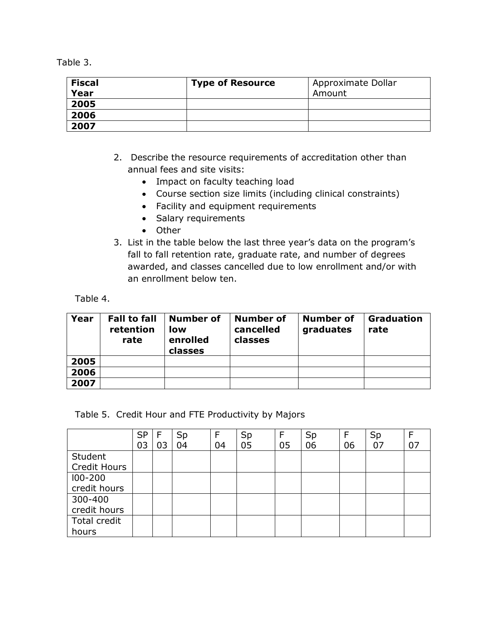Table 3.

| <b>Fiscal</b> | <b>Type of Resource</b> | Approximate Dollar |
|---------------|-------------------------|--------------------|
| Year          |                         | Amount             |
| 2005          |                         |                    |
| 2006          |                         |                    |
| 2007          |                         |                    |

- 2. Describe the resource requirements of accreditation other than annual fees and site visits:
	- Impact on faculty teaching load
	- Course section size limits (including clinical constraints)
	- Facility and equipment requirements
	- Salary requirements
	- Other
- 3. List in the table below the last three year's data on the program's fall to fall retention rate, graduate rate, and number of degrees awarded, and classes cancelled due to low enrollment and/or with an enrollment below ten.

Table 4.

| Year | <b>Fall to fall</b><br>retention<br>rate | Number of<br>low<br>enrolled<br>classes | Number of<br>cancelled<br>classes | Number of<br>graduates | <b>Graduation</b><br>rate |
|------|------------------------------------------|-----------------------------------------|-----------------------------------|------------------------|---------------------------|
| 2005 |                                          |                                         |                                   |                        |                           |
| 2006 |                                          |                                         |                                   |                        |                           |
| 2007 |                                          |                                         |                                   |                        |                           |

Table 5. Credit Hour and FTE Productivity by Majors

|              | <b>SP</b> |    | Sp | F  | Sp | F  | Sp | F  | Sp |    |
|--------------|-----------|----|----|----|----|----|----|----|----|----|
|              | 03        | 03 | 04 | 04 | 05 | 05 | 06 | 06 | 07 | 07 |
| Student      |           |    |    |    |    |    |    |    |    |    |
| Credit Hours |           |    |    |    |    |    |    |    |    |    |
| 100-200      |           |    |    |    |    |    |    |    |    |    |
| credit hours |           |    |    |    |    |    |    |    |    |    |
| 300-400      |           |    |    |    |    |    |    |    |    |    |
| credit hours |           |    |    |    |    |    |    |    |    |    |
| Total credit |           |    |    |    |    |    |    |    |    |    |
| hours        |           |    |    |    |    |    |    |    |    |    |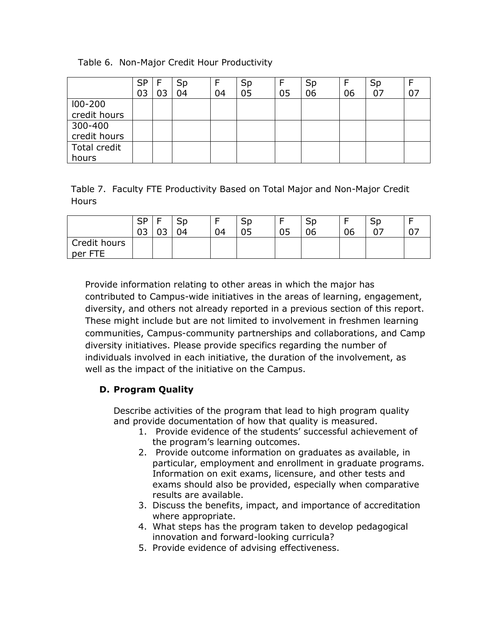|  |  |  | Table 6. Non-Major Credit Hour Productivity |
|--|--|--|---------------------------------------------|
|--|--|--|---------------------------------------------|

|              | SP | Sp |    | Sp | F  | Sp |    | Sp |  |
|--------------|----|----|----|----|----|----|----|----|--|
|              | 03 | 04 | 04 | 05 | 05 | 06 | 06 | 07 |  |
| $100 - 200$  |    |    |    |    |    |    |    |    |  |
| credit hours |    |    |    |    |    |    |    |    |  |
| 300-400      |    |    |    |    |    |    |    |    |  |
| credit hours |    |    |    |    |    |    |    |    |  |
| Total credit |    |    |    |    |    |    |    |    |  |
| hours        |    |    |    |    |    |    |    |    |  |

Table 7. Faculty FTE Productivity Based on Total Major and Non-Major Credit **Hours** 

|                            | <b>CD</b><br>ົດ <sub>ີ</sub><br>UJ | -<br>$\sim$<br>ັ | SD<br>04 | -<br>04 | ວມ<br>05 | 05 | SD<br>06 | 06 | ىات<br>$\sim$ |  |
|----------------------------|------------------------------------|------------------|----------|---------|----------|----|----------|----|---------------|--|
| Credit hours<br>ETE<br>per |                                    |                  |          |         |          |    |          |    |               |  |

Provide information relating to other areas in which the major has contributed to Campus-wide initiatives in the areas of learning, engagement, diversity, and others not already reported in a previous section of this report. These might include but are not limited to involvement in freshmen learning communities, Campus-community partnerships and collaborations, and Camp diversity initiatives. Please provide specifics regarding the number of individuals involved in each initiative, the duration of the involvement, as well as the impact of the initiative on the Campus.

# **D. Program Quality**

Describe activities of the program that lead to high program quality and provide documentation of how that quality is measured.

- 1. Provide evidence of the students' successful achievement of the program's learning outcomes.
- 2. Provide outcome information on graduates as available, in particular, employment and enrollment in graduate programs. Information on exit exams, licensure, and other tests and exams should also be provided, especially when comparative results are available.
- 3. Discuss the benefits, impact, and importance of accreditation where appropriate.
- 4. What steps has the program taken to develop pedagogical innovation and forward-looking curricula?
- 5. Provide evidence of advising effectiveness.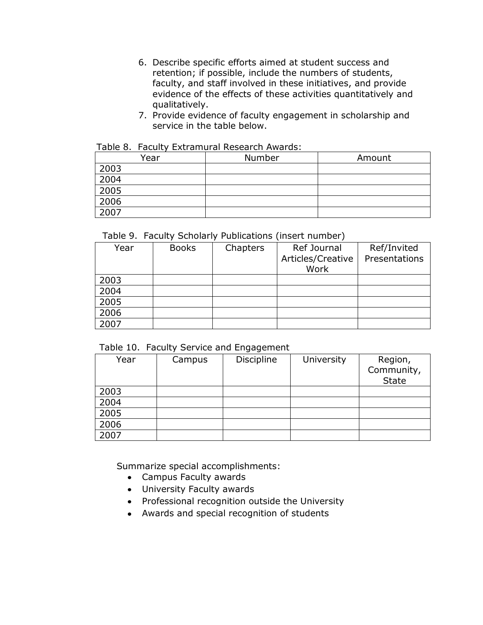- 6. Describe specific efforts aimed at student success and retention; if possible, include the numbers of students, faculty, and staff involved in these initiatives, and provide evidence of the effects of these activities quantitatively and qualitatively.
- 7. Provide evidence of faculty engagement in scholarship and service in the table below.

#### Table 8. Faculty Extramural Research Awards:

| Year | Number | Amount |
|------|--------|--------|
| 2003 |        |        |
| 2004 |        |        |
| 2005 |        |        |
| 2006 |        |        |
| 2007 |        |        |

### Table 9. Faculty Scholarly Publications (insert number)

| Year | <b>Books</b> | Chapters | Ref Journal<br>Articles/Creative<br>Work | Ref/Invited<br>Presentations |
|------|--------------|----------|------------------------------------------|------------------------------|
| 2003 |              |          |                                          |                              |
| 2004 |              |          |                                          |                              |
| 2005 |              |          |                                          |                              |
| 2006 |              |          |                                          |                              |
| 2007 |              |          |                                          |                              |

### Table 10. Faculty Service and Engagement

| Year | Campus | Discipline | University | Region,<br>Community,<br><b>State</b> |
|------|--------|------------|------------|---------------------------------------|
| 2003 |        |            |            |                                       |
| 2004 |        |            |            |                                       |
| 2005 |        |            |            |                                       |
| 2006 |        |            |            |                                       |
| 2007 |        |            |            |                                       |

Summarize special accomplishments:

- Campus Faculty awards
- University Faculty awards
- Professional recognition outside the University
- Awards and special recognition of students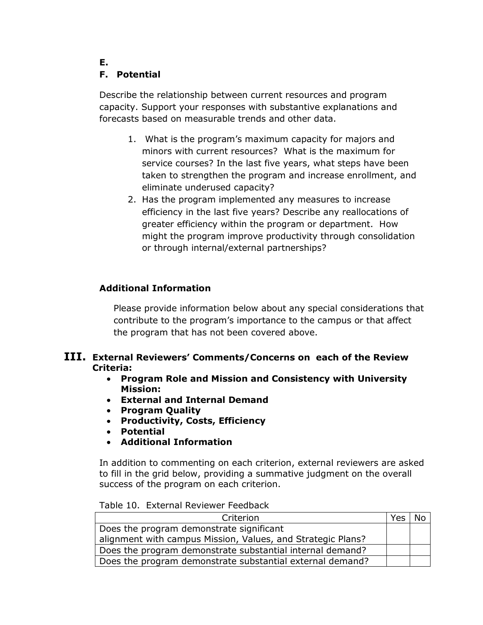# **F. Potential**

**E.**

Describe the relationship between current resources and program capacity. Support your responses with substantive explanations and forecasts based on measurable trends and other data.

- 1. What is the program's maximum capacity for majors and minors with current resources? What is the maximum for service courses? In the last five years, what steps have been taken to strengthen the program and increase enrollment, and eliminate underused capacity?
- 2. Has the program implemented any measures to increase efficiency in the last five years? Describe any reallocations of greater efficiency within the program or department. How might the program improve productivity through consolidation or through internal/external partnerships?

# **Additional Information**

Please provide information below about any special considerations that contribute to the program's importance to the campus or that affect the program that has not been covered above.

## **III. External Reviewers' Comments/Concerns on each of the Review Criteria:**

- **Program Role and Mission and Consistency with University Mission:**
- **External and Internal Demand**
- **Program Quality**
- **Productivity, Costs, Efficiency**
- **Potential**
- **Additional Information**

In addition to commenting on each criterion, external reviewers are asked to fill in the grid below, providing a summative judgment on the overall success of the program on each criterion.

| Criterion                                                   | Yes |  |
|-------------------------------------------------------------|-----|--|
| Does the program demonstrate significant                    |     |  |
| alignment with campus Mission, Values, and Strategic Plans? |     |  |
| Does the program demonstrate substantial internal demand?   |     |  |
| Does the program demonstrate substantial external demand?   |     |  |